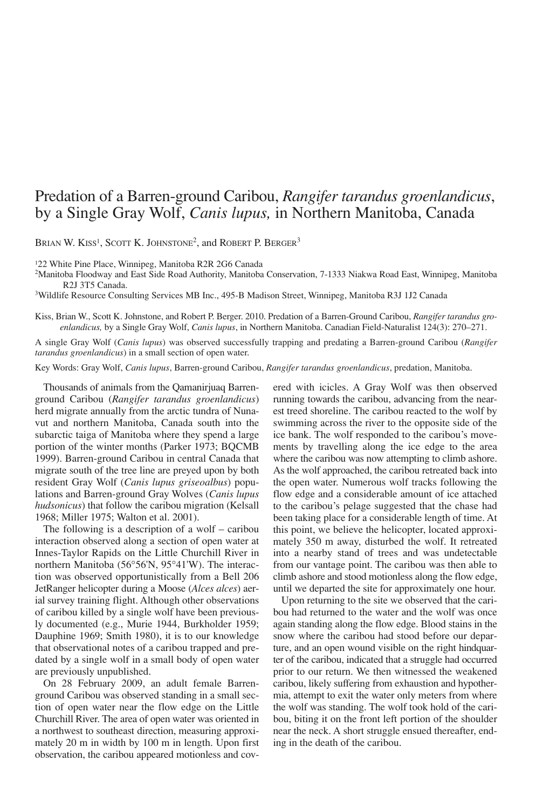## Predation of a Barren-ground Caribou, *Rangifer tarandus groenlandicus*, by a Single Gray Wolf, *Canis lupus,* in Northern Manitoba, Canada

BRIAN W. KISS<sup>1</sup>, SCOTT K. JOHNSTONE<sup>2</sup>, and ROBERT P. BERGER<sup>3</sup>

<sup>1</sup>22 White Pine Place, Winnipeg, Manitoba R2R 2G6 Canada

2 Manitoba Floodway and East Side Road Authority, Manitoba Conservation, 7-1333 Niakwa Road East, Winnipeg, Manitoba R2J 3T5 Canada.

3Wildlife Resource Consulting Services MB Inc., 495-B Madison Street, Winnipeg, Manitoba R3J 1J2 Canada

Kiss, Brian W., Scott K. Johnstone, and Robert P. Berger. 2010. Predation of a Barren-Ground Caribou, *Rangifer tarandus groenlandicus,* by a Single Gray Wolf, *Canis lupus*, in Northern Manitoba. Canadian Field-Naturalist 124(3): 270–271.

A single Gray Wolf (*Canis lupus*) was observed successfully trapping and predating a Barren-ground Caribou (*Rangifer tarandus groenlandicus*) in a small section of open water.

Key Words: Gray Wolf, *Canis lupus*, Barren-ground Caribou, *Rangifer tarandus groenlandicus*, predation, Manitoba.

Thousands of animals from the Qamanirjuaq Barrenground Caribou (*Rangifer tarandus groenlandicus*) herd migrate annually from the arctic tundra of Nunavut and northern Manitoba, Canada south into the subarctic taiga of Manitoba where they spend a large portion of the winter months (Parker 1973; BQCMB 1999). Barren-ground Caribou in central Canada that migrate south of the tree line are preyed upon by both resident Gray Wolf (*Canis lupus griseoalbus*) populations and Barren-ground Gray Wolves (*Canis lupus hudsonicus*) that follow the caribou migration (Kelsall 1968; Miller 1975; Walton et al. 2001).

The following is a description of a wolf – caribou interaction observed along a section of open water at Innes-Taylor Rapids on the Little Churchill River in northern Manitoba (56°56'N, 95°41'W). The interaction was observed opportunistically from a Bell 206 JetRanger helicopter during a Moose (*Alces alces*) aerial survey training flight. Although other observations of caribou killed by a single wolf have been previously documented (e.g., Murie 1944, Burkholder 1959; Dauphine 1969; Smith 1980), it is to our knowledge that observational notes of a caribou trapped and predated by a single wolf in a small body of open water are previously unpublished.

On 28 February 2009, an adult female Barrenground Caribou was observed standing in a small section of open water near the flow edge on the Little Churchill River. The area of open water was oriented in a northwest to southeast direction, measuring approximately 20 m in width by 100 m in length. Upon first observation, the caribou appeared motionless and covered with icicles. A Gray Wolf was then observed running towards the caribou, advancing from the nearest treed shoreline. The caribou reacted to the wolf by swimming across the river to the opposite side of the ice bank. The wolf responded to the caribou's movements by travelling along the ice edge to the area where the caribou was now attempting to climb ashore. As the wolf approached, the caribou retreated back into the open water. Numerous wolf tracks following the flow edge and a considerable amount of ice attached to the caribou's pelage suggested that the chase had been taking place for a considerable length of time. At this point, we believe the helicopter, located approximately 350 m away, disturbed the wolf. It retreated into a nearby stand of trees and was undetectable from our vantage point. The caribou was then able to climb ashore and stood motionless along the flow edge, until we departed the site for approximately one hour.

Upon returning to the site we observed that the caribou had returned to the water and the wolf was once again standing along the flow edge. Blood stains in the snow where the caribou had stood before our departure, and an open wound visible on the right hindquarter of the caribou, indicated that a struggle had occurred prior to our return. We then witnessed the weakened caribou, likely suffering from exhaustion and hypothermia, attempt to exit the water only meters from where the wolf was standing. The wolf took hold of the caribou, biting it on the front left portion of the shoulder near the neck. A short struggle ensued thereafter, ending in the death of the caribou.